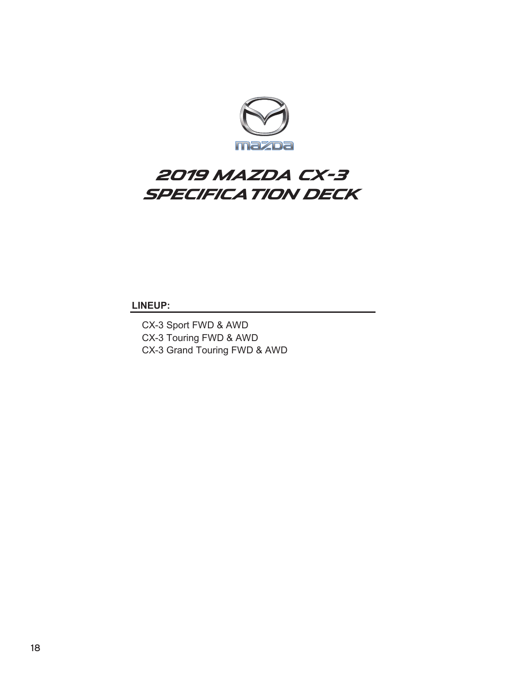

## **2019 Mazda CX-3 SPECIFICATION DECK**

**LINEUP:**

CX-3 Sport FWD & AWD CX-3 Touring FWD & AWD CX-3 Grand Touring FWD & AWD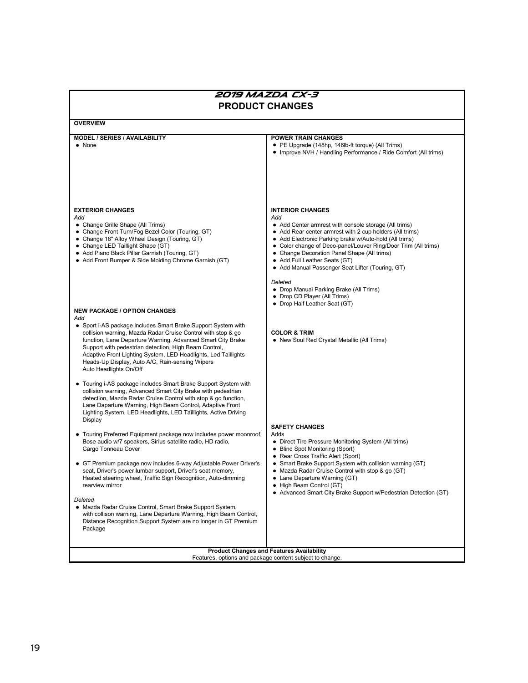| 2019 MAZDA CX-3<br><b>PRODUCT CHANGES</b>                                                                                                                                                                                                                                                                                                                                                                                                                                                                                                                                                                                                                                                                                                                                                                                                                                   |                                                                                                                                                                                                                                                                                                                                                                                                                                                                                                           |  |  |  |  |
|-----------------------------------------------------------------------------------------------------------------------------------------------------------------------------------------------------------------------------------------------------------------------------------------------------------------------------------------------------------------------------------------------------------------------------------------------------------------------------------------------------------------------------------------------------------------------------------------------------------------------------------------------------------------------------------------------------------------------------------------------------------------------------------------------------------------------------------------------------------------------------|-----------------------------------------------------------------------------------------------------------------------------------------------------------------------------------------------------------------------------------------------------------------------------------------------------------------------------------------------------------------------------------------------------------------------------------------------------------------------------------------------------------|--|--|--|--|
| <b>OVERVIEW</b>                                                                                                                                                                                                                                                                                                                                                                                                                                                                                                                                                                                                                                                                                                                                                                                                                                                             |                                                                                                                                                                                                                                                                                                                                                                                                                                                                                                           |  |  |  |  |
| <b>MODEL / SERIES / AVAILABILITY</b><br>$\bullet$ None                                                                                                                                                                                                                                                                                                                                                                                                                                                                                                                                                                                                                                                                                                                                                                                                                      | <b>POWER TRAIN CHANGES</b><br>• PE Upgrade (148hp, 146lb-ft torque) (All Trims)<br>• Improve NVH / Handling Performance / Ride Comfort (All trims)                                                                                                                                                                                                                                                                                                                                                        |  |  |  |  |
| <b>EXTERIOR CHANGES</b><br>Add<br>• Change Grille Shape (All Trims)<br>• Change Front Turn/Fog Bezel Color (Touring, GT)<br>• Change 18" Alloy Wheel Design (Touring, GT)<br>• Change LED Taillight Shape (GT)<br>• Add Piano Black Pillar Garnish (Touring, GT)<br>• Add Front Bumper & Side Molding Chrome Garnish (GT)                                                                                                                                                                                                                                                                                                                                                                                                                                                                                                                                                   | <b>INTERIOR CHANGES</b><br>Add<br>• Add Center armrest with console storage (All trims)<br>• Add Rear center armrest with 2 cup holders (All trims)<br>• Add Electronic Parking brake w/Auto-hold (All trims)<br>• Color change of Deco-panel/Louver Ring/Door Trim (All trims)<br>• Change Decoration Panel Shape (All trims)<br>• Add Full Leather Seats (GT)<br>• Add Manual Passenger Seat Lifter (Touring, GT)<br>Deleted<br>• Drop Manual Parking Brake (All Trims)<br>• Drop CD Player (All Trims) |  |  |  |  |
| <b>NEW PACKAGE / OPTION CHANGES</b><br>Add<br>• Sport i-AS package includes Smart Brake Support System with<br>collision warning, Mazda Radar Cruise Control with stop & go<br>function, Lane Departure Warning, Advanced Smart City Brake<br>Support with pedestrian detection, High Beam Control,<br>Adaptive Front Lighting System, LED Headlights, Led Taillights<br>Heads-Up Display, Auto A/C, Rain-sensing Wipers<br>Auto Headlights On/Off                                                                                                                                                                                                                                                                                                                                                                                                                          | • Drop Half Leather Seat (GT)<br><b>COLOR &amp; TRIM</b><br>• New Soul Red Crystal Metallic (All Trims)                                                                                                                                                                                                                                                                                                                                                                                                   |  |  |  |  |
| • Touring i-AS package includes Smart Brake Support System with<br>collision warning, Advanced Smart City Brake with pedestrian<br>detection, Mazda Radar Cruise Control with stop & go function,<br>Lane Daparture Warning, High Beam Control, Adaptive Front<br>Lighting System, LED Headlights, LED Taillights, Active Driving<br>Display<br>• Touring Preferred Equipment package now includes power moonroof,<br>Bose audio w/7 speakers, Sirius satellite radio, HD radio,<br>Cargo Tonneau Cover<br>• GT Premium package now includes 6-way Adjustable Power Driver's<br>seat, Driver's power lumbar support, Driver's seat memory,<br>Heated steering wheel, Traffic Sign Recognition, Auto-dimming<br>rearview mirror<br>Deleted<br>• Mazda Radar Cruise Control, Smart Brake Support System,<br>with collison warning, Lane Departure Warning, High Beam Control, | <b>SAFETY CHANGES</b><br>Adds<br>• Direct Tire Pressure Monitoring System (All trims)<br>• Blind Spot Monitoring (Sport)<br>• Rear Cross Traffic Alert (Sport)<br>• Smart Brake Support System with collision warning (GT)<br>• Mazda Radar Cruise Control with stop & go (GT)<br>Lane Departure Warning (GT)<br>• High Beam Control (GT)<br>• Advanced Smart City Brake Support w/Pedestrian Detection (GT)                                                                                              |  |  |  |  |
| Distance Recognition Support System are no longer in GT Premium<br>Package                                                                                                                                                                                                                                                                                                                                                                                                                                                                                                                                                                                                                                                                                                                                                                                                  | <b>Product Changes and Features Availability</b>                                                                                                                                                                                                                                                                                                                                                                                                                                                          |  |  |  |  |
|                                                                                                                                                                                                                                                                                                                                                                                                                                                                                                                                                                                                                                                                                                                                                                                                                                                                             | Features, options and package content subject to change.                                                                                                                                                                                                                                                                                                                                                                                                                                                  |  |  |  |  |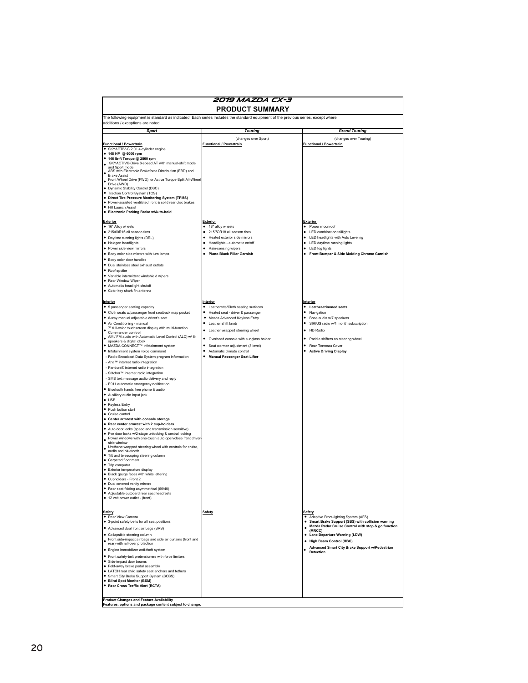| 2019 MAZDA CX-3                                                                                                                                                                                                                                                                                                                                                                                                                                                                                                                                                                                                                                                                                                                                                                                                                                                                                                                                                                                                                                                                                                                                                                                                                                                                                                                                                                                                     |                                                                                                                                                                                                                                                                                                                                                                                                                                                                    |                                                                                                                                                                                                                                                                                                                                                                                                   |  |  |
|---------------------------------------------------------------------------------------------------------------------------------------------------------------------------------------------------------------------------------------------------------------------------------------------------------------------------------------------------------------------------------------------------------------------------------------------------------------------------------------------------------------------------------------------------------------------------------------------------------------------------------------------------------------------------------------------------------------------------------------------------------------------------------------------------------------------------------------------------------------------------------------------------------------------------------------------------------------------------------------------------------------------------------------------------------------------------------------------------------------------------------------------------------------------------------------------------------------------------------------------------------------------------------------------------------------------------------------------------------------------------------------------------------------------|--------------------------------------------------------------------------------------------------------------------------------------------------------------------------------------------------------------------------------------------------------------------------------------------------------------------------------------------------------------------------------------------------------------------------------------------------------------------|---------------------------------------------------------------------------------------------------------------------------------------------------------------------------------------------------------------------------------------------------------------------------------------------------------------------------------------------------------------------------------------------------|--|--|
| <b>PRODUCT SUMMARY</b>                                                                                                                                                                                                                                                                                                                                                                                                                                                                                                                                                                                                                                                                                                                                                                                                                                                                                                                                                                                                                                                                                                                                                                                                                                                                                                                                                                                              |                                                                                                                                                                                                                                                                                                                                                                                                                                                                    |                                                                                                                                                                                                                                                                                                                                                                                                   |  |  |
| The following equipment is standard as indicated. Each series includes the standard equipment of the previous series, except where<br>additions / exceptions are noted.                                                                                                                                                                                                                                                                                                                                                                                                                                                                                                                                                                                                                                                                                                                                                                                                                                                                                                                                                                                                                                                                                                                                                                                                                                             |                                                                                                                                                                                                                                                                                                                                                                                                                                                                    |                                                                                                                                                                                                                                                                                                                                                                                                   |  |  |
| <b>Sport</b>                                                                                                                                                                                                                                                                                                                                                                                                                                                                                                                                                                                                                                                                                                                                                                                                                                                                                                                                                                                                                                                                                                                                                                                                                                                                                                                                                                                                        | <b>Touring</b>                                                                                                                                                                                                                                                                                                                                                                                                                                                     | <b>Grand Touring</b>                                                                                                                                                                                                                                                                                                                                                                              |  |  |
| <b>Functional / Powertrain</b><br>· SKYACTIV-G 2.0L 4-cylinder engine<br>● 148 HP @ 6000 rpm<br>● 146 lb-ft Torque @ 2800 rpm<br>SKYACTIV®-Drive 6-speed AT with manual-shift mode<br>and Sport mode<br>ABS with Electronic Brakeforce Distribution (EBD) and<br><b>Brake Assist</b><br>Front Wheel Drive (FWD) or Active Torque-Split All-Wheel<br>Drive (AWD)<br>· Dynamic Stability Control (DSC)<br>· Traction Control System (TCS)<br>• Direct Tire Pressure Monitoring System (TPMS)<br>· Power-assisted ventilated front & solid rear disc brakes<br>· Hill Launch Assist<br>· Electronic Parking Brake w/Auto-hold<br><b>Exterior</b><br>· 16" Alloy wheels<br>· 215/60R16 all season tires<br>· Daytime running lights (DRL)<br>· Halogen headlights<br>· Power side view mirrors<br>· Body color side mirrors with turn lamps<br>· Body color door handles<br>· Dual stainless steel exhaust outlets<br>• Roof spoiler<br>· Variable intermittent windshield wipers<br>• Rear Window Wiper<br>· Automatic headlight shutoff<br>· Color key shark fin antenna<br>Interior<br>• 5 passenger seating capacity<br>· Cloth seats w/passenger front seatback map pocket<br>· 6-way manual adjustable driver's seat<br>· Air Conditioning - manual                                                                                                                                                               | (changes over Sport)<br><b>Functional / Powertrain</b><br><b>Exterior</b><br>٠<br>18" alloy wheels<br>$\bullet$<br>215/50R18 all season tires<br>Heated exterior side mirrors<br>٠<br>Headlights - automatic on/off<br>٠<br>Rain-sensing wipers<br>$\bullet$<br>Piano Black Pillar Garnish<br>Interior<br>• Leatherette/Cloth seating surfaces<br>Heated seat - driver & passenger<br>Mazda Advanced Keyless Entry<br>$\bullet$<br>Leather shift knob<br>$\bullet$ | (changes over Touring)<br><b>Functional / Powertrain</b><br>Exterior<br>· Power moonroof<br>• LED combination taillights<br>LED headlights with Auto Leveling<br>LED daytime running lights<br>LED fog lights<br>Front Bumper & Side Molding Chrome Garnish<br>Interior<br><b>Leather-trimmed seats</b><br>٠<br>Navigation<br>Bose audio w/7 speakers<br>SIRIUS radio w/4 month subscription<br>٠ |  |  |
| . 7" full-color touchscreen display with multi-function<br>Commander conrtrol<br>AM / FM audio with Automatic Level Control (ALC) w/ 6-<br>speakers & digital clock<br>● MAZDA CONNECT™ infotainment system<br>· Infotainment system voice command<br>- Radio Broadcast Data System program information<br>- Aha™ internet radio integration<br>- Pandora® internet radio integration<br>- Stitcher™ internet radio integration<br>- SMS text message audio delivery and reply<br>- E911 automatic emergency notification<br>· Bluetooth hands free phone & audio<br>· Auxiliary audio Input jack<br>$\bullet$ USB<br>• Keyless Entry<br>• Push button start<br>· Cruise control<br>• Center armrest with console storage<br>. Rear center armrest with 2 cup-holders<br>· Auto door locks (speed and transmission sensitive)<br>. Pwr door locks w/2-stage unlocking & central locking<br>Power windows with one-touch auto open/close front driver<br>side window<br>Urethane wrapped steering wheel with controls for cruise,<br>audio and bluetooth<br>. Tilt and telescoping steering column<br>• Carpeted floor mats<br>• Trip computer<br>· Exterior temperature display<br>· Black gauge faces with white lettering<br>• Cupholders - Front 2<br>• Dual covered vanity mirrors<br>· Rear seat folding asymmetrical (60/40)<br>· Adjustable outboard rear seat headrests<br>• 12 volt power outlet - (front) | $\bullet$<br>Leather wrapped steering wheel<br>Overhead console with sunglass holder<br>٠<br>$\bullet$<br>Seat warmer adjustment (3 level)<br>Automatic climate control<br><b>Manual Passenger Seat Lifter</b>                                                                                                                                                                                                                                                     | $\bullet$<br>HD Radio<br>Paddle shifters on steering wheel<br>٠<br>Rear Tonneau Cover<br><b>Active Driving Display</b>                                                                                                                                                                                                                                                                            |  |  |
| Safety<br>Rear View Camera<br>• 3-point safety-belts for all seat positions<br>• Advanced dual front air bags (SRS)<br>• Collapsible steering column<br>Front side-impact air bags and side air curtains (front and<br>rear) with roll-over protection<br>• Engine immobilizer anti-theft system<br>• Front safety-belt pretensioners with force limiters<br>· Side-impact door beams<br>· Fold-away brake pedal assembly<br>• LATCH rear child safety seat anchors and tethers<br>• Smart City Brake Support System (SCBS)<br>• Blind Spot Monitor (BSM)<br>· Rear Cross Traffic Alert (RCTA)<br><b>Product Changes and Feature Availability</b><br>Features, options and package content subject to change.                                                                                                                                                                                                                                                                                                                                                                                                                                                                                                                                                                                                                                                                                                       | Safety                                                                                                                                                                                                                                                                                                                                                                                                                                                             | Safety<br>• Adaptive Front-lighting System (AFS)<br>• Smart Brake Support (SBS) with collision warning<br>Mazda Radar Cruise Control with stop & go function<br>$\bullet$<br>(MRCC)<br>$\bullet$<br>Lane Departure Warning (LDW)<br><b>High Beam Control (HBC)</b><br>٠<br>Advanced Smart City Brake Support w/Pedestrian<br><b>Detection</b>                                                     |  |  |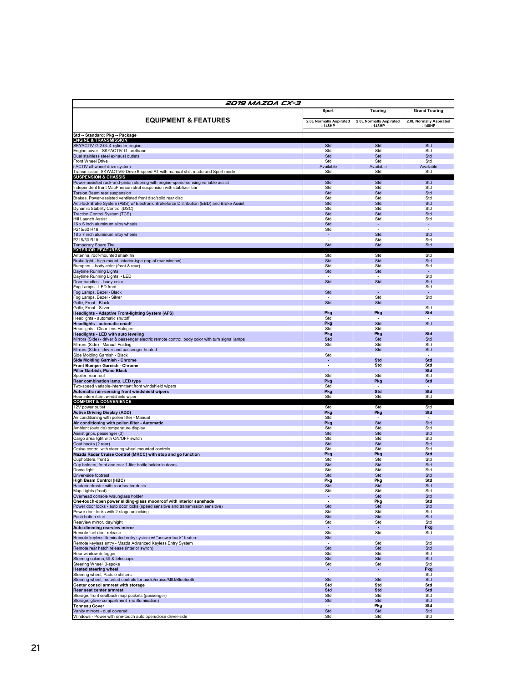| 2019 MAZDA CX-3                                                                                                                                        |                         |                          |                         |  |
|--------------------------------------------------------------------------------------------------------------------------------------------------------|-------------------------|--------------------------|-------------------------|--|
|                                                                                                                                                        | <b>Sport</b>            | <b>Touring</b>           | <b>Grand Touring</b>    |  |
| <b>EQUIPMENT &amp; FEATURES</b>                                                                                                                        | 2.0L Normally Aspirated | 2.0L Normally Aspirated  | 2.0L Normally Aspirated |  |
|                                                                                                                                                        | · 148HP                 | 148HP                    | 148HP                   |  |
| Std -- Standard; Pkg -- Package                                                                                                                        |                         |                          |                         |  |
| <b>ENGINE &amp; TRANSMISSION</b><br>SKYACTIV-G 2.0L 4-cylinder engine                                                                                  | Std                     | Std                      | Std                     |  |
| Engine cover - SKYACTIV-G urethane                                                                                                                     | Std                     | Std                      | Std                     |  |
| Dual stainless steel exhaust outlets<br>Front Wheel Drive                                                                                              | Std<br>Std              | Std<br>Std               | Std<br>Std              |  |
| -ACTIV all-wheel-drive system                                                                                                                          | Available               | Available                | Available               |  |
| Transmission, SKYACTIV®-Drive 6-speed AT with manual-shift mode and Sport mode<br><b>SUSPENSION &amp; CHASSIS</b>                                      | Std                     | Std                      | Std                     |  |
| Power-assisted rack-and-pinion steering with engine-speed-sensing variable assist<br>Independent front MacPherson strut suspension with stabilizer bar | Std<br>Std              | Std<br>Std               | Std<br>Std              |  |
| <b>Torsion Beam rear suspension</b>                                                                                                                    | Std                     | Std                      | Std                     |  |
| Brakes, Power-assisted ventilated front disc/solid rear disc                                                                                           | Std<br>Std              | Std<br>Std               | Std<br>Std              |  |
| Anti-lock Brake System (ABS) w/ Electronic Brakeforce Distribution (EBD) and Brake Assist<br>Dynamic Stability Control (DSC)                           | Std                     | Std                      | Std                     |  |
| Traction Control System (TCS)<br>Hill Launch Assist                                                                                                    | Std<br>Std              | Std<br>Std               | Std<br>Std              |  |
| 16 x 6 inch aluminum alloy wheels                                                                                                                      | Std                     | ٠                        | ٠                       |  |
| P215/60 R16                                                                                                                                            | Std<br>$\blacksquare$   | $\overline{\phantom{a}}$ | Std                     |  |
| 18 x 7 inch aluminum alloy wheels<br>P215/50 R18                                                                                                       | $\sim$                  | Std<br>Std               | Std                     |  |
| Temporary Spare Tire<br><b>EXTERIOR FEATURES</b>                                                                                                       | Std                     | Std                      | Std                     |  |
| Antenna, roof-mounted shark fin                                                                                                                        | Std                     | Std                      | Std                     |  |
| Brake light - high-mount, interior-type (top of rear window)<br>Bumpers - body-color (front & rear)                                                    | Std<br>Std              | Std<br>Std               | Std<br>Std              |  |
| Daytime Running Lights                                                                                                                                 | Std                     | Std                      |                         |  |
| Daytime Running Lights - LED<br>Door handles - body-color                                                                                              | Std                     | Std                      | Std<br>Std              |  |
| Fog Lamps - LED front                                                                                                                                  |                         | $\sim$                   | Std                     |  |
| Fog Lamps, Bezel - Black<br>Fog Lamps, Bezel - Silver                                                                                                  | Std                     | Std                      | Std                     |  |
| Grille, Front - Black                                                                                                                                  | Std                     | Std                      |                         |  |
| Grille, Front - Silver<br><b>Headlights - Adaptive Front-lighting System (AFS)</b>                                                                     | Pkg                     | Pkg                      | Std<br>Std              |  |
| Headlights - automatic shutoff                                                                                                                         | Std                     |                          |                         |  |
| <b>Headlights - automatic on/off</b><br>Headlights - Clear-lens Halogen                                                                                | Pkg<br>Std              | Std<br>Std               | Std                     |  |
| <b>Headlights - LED with auto leveling</b>                                                                                                             | Pkg                     | Pkg                      | <b>Std</b>              |  |
| Mirrors (Side) - driver & passenger electric remote control, body color with turn signal lamps<br>Mirrors (Side) - Manual Folding                      | Std<br>Std              | Std<br>Std               | Std<br>Std              |  |
| Mirrors (Side) - driver and passenger heated                                                                                                           | $\sim$                  | Std                      | Std                     |  |
| Side Molding Garnish - Black<br><b>Side Molding Garnish - Chrome</b>                                                                                   | Std<br>٠                | Std                      | <b>Std</b>              |  |
| Front Bumper Garnish - Chrome                                                                                                                          | ÷                       | Std                      | Std                     |  |
| Pillar Garbish, Piano Black<br>Spoiler, rear roof                                                                                                      | Std                     | Std                      | Std<br>Std              |  |
| Rear combination lamp, LED type                                                                                                                        | Pkg                     | Pkg                      | Std                     |  |
| Two-speed variable-intermittent front windshield wipers<br>Automatic rain-sensing front windshield wipers                                              | Std<br>Pkg              | <b>Std</b>               | Std                     |  |
| Rear intermittent windshield wiper                                                                                                                     | Std                     | Std                      | Std                     |  |
| <b>COMFORT &amp; CONVENIENCE</b><br>12V power outlet                                                                                                   | Std                     | Std                      | Std                     |  |
| <b>Active Driving Display (ADD)</b>                                                                                                                    | Pkg                     | Pkg                      | Std                     |  |
| Air conditioning with pollen filter - Manual<br>Air conditioning with pollen filter - Automatic                                                        | Std<br>Pkg              | Std                      | Std                     |  |
| Ambient (outside) temperature display                                                                                                                  | Std                     | Std                      | Std                     |  |
| Assist grips, passenger (3)<br>Cargo area light with ON/OFF switch                                                                                     | Std<br>Std              | Std<br>Std               | Std<br>Std              |  |
| Coat hooks (2 rear)                                                                                                                                    | Std                     | Std                      | Std                     |  |
| Cruise control with steering wheel mounted controls<br>Mazda Radar Cruise Control (MRCC) with stop and go function                                     | Std<br>Pkg              | Std<br>Pkg               | Std<br>Std              |  |
| Cupholders, front 2                                                                                                                                    | Std                     | Std                      | Std                     |  |
| Cup holders, front and rear 1-liter bottle holder in doors<br>Dome light                                                                               | Std<br>Std              | Std<br>Std               | Std<br>Std              |  |
| Driver-side footrest                                                                                                                                   | Std                     | Std                      | Std                     |  |
| <b>High Beam Control (HBC)</b><br>Heater/defroster with rear heater ducts                                                                              | Pkg<br>Std              | Pkg<br>Std               | Std<br>Std              |  |
| Map Lights (front)                                                                                                                                     | Std                     | Std                      | Std                     |  |
| Overhead console w/sunglass holder<br>One-touch-open power sliding-glass moonroof with interior sunshade                                               | $\sim$<br>$\sim$        | Std<br>Pkg               | Std<br>Std              |  |
| Power door locks - auto door locks (speed sensitive and transmission sensitive)                                                                        | Std                     | Std                      | Std                     |  |
| Power door locks with 2-stage unlocking<br>Push button start                                                                                           | Std<br>Std              | Std<br>Std               | Std<br>Std              |  |
| Rearview mirror, day/night                                                                                                                             | Std                     | Std                      | Std                     |  |
| Auto-dimming rearview mirror<br>Remote fuel door release                                                                                               | $\sim$<br>Std           | ÷.<br>Std                | Pkg<br>Std              |  |
| Remote keyless illuminated entry system w/ "answer back" feature                                                                                       | Std                     | $\sim$                   |                         |  |
| Remote keyless entry - Mazda Advanced Keyless Entry System<br>Remote rear hatch release (interior switch)                                              | $\sim$<br>Std           | Std<br>Std               | Std<br>Std              |  |
| Rear window defogger                                                                                                                                   | Std                     | Std                      | Std                     |  |
| Steering column, tilt & telescopic<br>Steering Wheel, 3-spoke                                                                                          | Std<br>Std              | Std<br>Std               | Std<br>Std              |  |
| <b>Heated steering wheel</b>                                                                                                                           | ٠                       | ÷.                       | Pkg                     |  |
| Steering wheel, Paddle shifters<br>Steering wheel, mounted controls for audio/cruise/MID/Bluetooth                                                     | Std                     | Std                      | Std<br>Std              |  |
| Center consol armrest with storage                                                                                                                     | Std<br>Std              | Std<br>Std               | Std<br>Std              |  |
| Rear seat center armrest<br>Storage, front seatback map pockets (passenger)                                                                            | Std                     | Std                      | Std                     |  |
| Storage, glove compartment (no illumination)                                                                                                           | Std                     | Std                      | Std                     |  |
| <b>Tonneau Cover</b><br>Vanity mirrors - dual covered                                                                                                  | Std                     | Pkg<br>Std               | Std<br>Std              |  |
| Windows - Power with one-touch auto open/close driver-side                                                                                             | Std                     | Std                      | Std                     |  |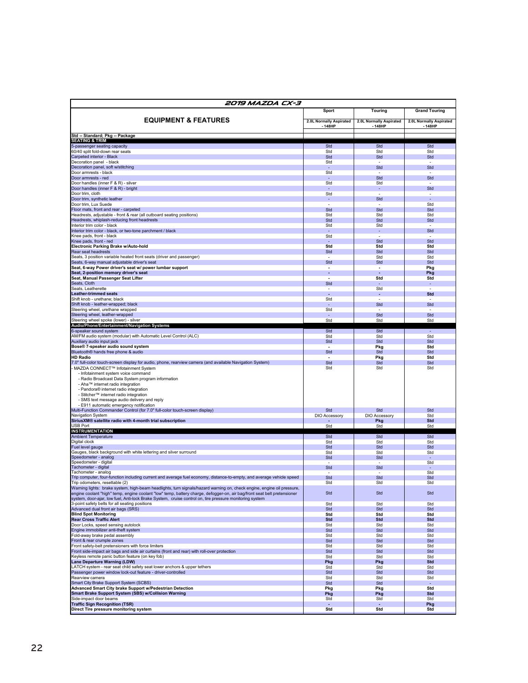| 2019 MAZDA CX-3                                                                                                                                                                                                                                    | <b>Sport</b>                              | Touring                          | <b>Grand Touring</b>             |  |
|----------------------------------------------------------------------------------------------------------------------------------------------------------------------------------------------------------------------------------------------------|-------------------------------------------|----------------------------------|----------------------------------|--|
|                                                                                                                                                                                                                                                    |                                           |                                  |                                  |  |
| <b>EQUIPMENT &amp; FEATURES</b>                                                                                                                                                                                                                    | 2.0L Normally Aspirated<br>148HP          | 2.0L Normally Aspirated<br>148HP | 2.0L Normally Aspirated<br>148HP |  |
| Std -- Standard; Pkg -- Package                                                                                                                                                                                                                    |                                           |                                  |                                  |  |
| <b>SEATING &amp; TRIM</b>                                                                                                                                                                                                                          |                                           |                                  |                                  |  |
| 5-passenger seating capacity                                                                                                                                                                                                                       | Std                                       | Std                              | Std                              |  |
| 60/40 split fold-down rear seats<br>Carpeted interior - Black                                                                                                                                                                                      | Std<br>Std                                | Std<br>Std                       | Std<br>Std                       |  |
| Decoration panel - black                                                                                                                                                                                                                           | Std                                       |                                  |                                  |  |
| Decoration panel, soft w/stitching                                                                                                                                                                                                                 | ٠                                         | Std                              | Std                              |  |
| Door armrests - black                                                                                                                                                                                                                              | Std                                       |                                  |                                  |  |
| Door armrests - red<br>Door handles (inner F & R) - silver                                                                                                                                                                                         | ٠<br>Std                                  | Std                              | Std                              |  |
| Door handles (inner F & R) - bright                                                                                                                                                                                                                | $\blacksquare$                            | Std<br>$\blacksquare$            | Std                              |  |
| Door trim, cloth                                                                                                                                                                                                                                   | Std                                       | $\sim$                           |                                  |  |
| Door trim, synthetic leather                                                                                                                                                                                                                       | $\blacksquare$                            | Std                              |                                  |  |
| Door trim, Lux Suede<br>Floor mats, front and rear - carpeted                                                                                                                                                                                      | Std                                       | Std                              | Std<br>Std                       |  |
| Headrests, adjustable - front & rear (all outboard seating positions)                                                                                                                                                                              | Std                                       | Std                              | Std                              |  |
| Headrests, whiplash-reducing front headrests                                                                                                                                                                                                       | Std                                       | Std                              | Std                              |  |
| Interior trim color - black                                                                                                                                                                                                                        | Std                                       | Std                              |                                  |  |
| Interior trim color - black, or two-tone parchment / black<br>Knee pads, front - black                                                                                                                                                             | $\sim$<br>Std                             | $\blacksquare$                   | Std                              |  |
| Knee pads, front - red                                                                                                                                                                                                                             | $\sim$                                    | Std                              | Std                              |  |
| Electronic Parking Brake w/Auto-hold                                                                                                                                                                                                               | Std                                       | Std                              | Std                              |  |
| Rear seat headrests                                                                                                                                                                                                                                | Std                                       | Std                              | Std                              |  |
| Seats, 3 position variable heated front seats (driver and passenger)<br>Seats, 6-way manual adjustable driver's seat                                                                                                                               | Std                                       | Std<br>Std                       | Std<br>Std                       |  |
| Seat, 6-way Power driver's seat w/ power lumbar support                                                                                                                                                                                            | $\overline{\phantom{a}}$                  | $\blacksquare$                   | Pkg                              |  |
| Seat, 2-position memory driver's seat                                                                                                                                                                                                              |                                           | ×,                               | Pkg                              |  |
| Seat, Manual Passenger Seat Lifter                                                                                                                                                                                                                 |                                           | Std                              | Std                              |  |
| Seats, Cloth<br>Seats, Leatherette                                                                                                                                                                                                                 | Std<br>$\overline{\phantom{a}}$           | $\sim$<br>Std                    | $\blacksquare$                   |  |
| <b>Leather-trimmed seats</b>                                                                                                                                                                                                                       | $\sim$                                    | ÷                                | <b>Std</b>                       |  |
| Shift knob - urethane: black                                                                                                                                                                                                                       | Std                                       |                                  |                                  |  |
| Shift knob - leather-wrapped; black                                                                                                                                                                                                                | $\sim$                                    | Std                              | Std                              |  |
| Steering wheel, urethane wrapped<br>Steering wheel, leather-wrapped                                                                                                                                                                                | Std<br>$\sim$                             | $\sim$<br>Std                    | Std                              |  |
| Steering wheel spoke (lower) - silver                                                                                                                                                                                                              | Std                                       | Std                              | Std                              |  |
| Audio/Phone/Entertainment/Navigation Systems                                                                                                                                                                                                       |                                           |                                  |                                  |  |
| 6-speaker sound system                                                                                                                                                                                                                             | Std                                       | Std                              |                                  |  |
| AM/FM audio system (modular) with Automatic Level Control (ALC)<br>Auxiliary audio input iack                                                                                                                                                      | Std<br>Std                                | Std<br>Std                       | Std<br>Std                       |  |
| Bose® 7-speaker audio sound system                                                                                                                                                                                                                 |                                           | Pkg                              | Std                              |  |
| Bluetooth® hands free phone & audio                                                                                                                                                                                                                | Std                                       | Std                              | Std                              |  |
| <b>HD Radio</b>                                                                                                                                                                                                                                    |                                           | Pkg                              | Std                              |  |
| 7.0" full-color touch-screen display for audio, phone, rearview camera (and available Navigation System)<br>MAZDA CONNECT™ Infotainment System                                                                                                     | Std<br>Std                                | Std<br>Std                       | Std<br>Std                       |  |
| - Infotainment system voice command                                                                                                                                                                                                                |                                           |                                  |                                  |  |
| - Radio Broadcast Data System program information                                                                                                                                                                                                  |                                           |                                  |                                  |  |
| - Aha™ internet radio integration                                                                                                                                                                                                                  |                                           |                                  |                                  |  |
| - Pandora® internet radio integration                                                                                                                                                                                                              |                                           |                                  |                                  |  |
| - Stitcher™ internet radio integration<br>- SMS text message audio delivery and reply                                                                                                                                                              |                                           |                                  |                                  |  |
| - E911 automatic emergency notification                                                                                                                                                                                                            |                                           |                                  |                                  |  |
| Multi-Function Commander Control (for 7.0" full-color touch-screen display)                                                                                                                                                                        | Std                                       | Std                              | Std                              |  |
| Navigation System<br>SiriusXM® satellite radio with 4-month trial subscription                                                                                                                                                                     | DIO Accessory<br>$\overline{\phantom{a}}$ | <b>DIO Accessory</b><br>Pkg      | Std<br>Std                       |  |
| <b>USB Port</b>                                                                                                                                                                                                                                    | Std                                       | Std                              | Std                              |  |
| <b>INSTRUMENTATION</b>                                                                                                                                                                                                                             |                                           |                                  |                                  |  |
| <b>Ambient Temperature</b>                                                                                                                                                                                                                         | Std                                       | Std                              | Std                              |  |
| Digital clock<br>Fuel level gauge                                                                                                                                                                                                                  | Std<br>Std                                | Std<br>Std                       | Std<br>Std                       |  |
| Gauges, black background with white lettering and silver surround                                                                                                                                                                                  | Std                                       | Std                              | Std                              |  |
| Speedometer - analog                                                                                                                                                                                                                               | Std                                       | Std                              |                                  |  |
| Speedometer - digital                                                                                                                                                                                                                              |                                           |                                  | Std                              |  |
| Tachometer - digital<br><b>Tachometer - analog</b>                                                                                                                                                                                                 | Std                                       | Std                              | Std                              |  |
| Trip computer, four-function including current and average fuel economy, distance-to-empty, and average vehicle speed                                                                                                                              | Std                                       | Std                              | Std                              |  |
| Trip odometers, resettable (2)                                                                                                                                                                                                                     | Std                                       | Std                              | std                              |  |
| Warning lights: brake system, high-beam headlights, turn signals/hazard warning on, check engine, engine oil pressure,<br>engine coolant "high" temp, engine coolant "low" temp, battery charge, defogger-on, air bag/front seat belt pretensioner | Std                                       | Std                              | Std                              |  |
| system, door-ajar, low fuel, Anti-lock Brake System, cruise control on, tire pressure monitoring system                                                                                                                                            |                                           |                                  |                                  |  |
| 3-point safety belts for all seating positions                                                                                                                                                                                                     | Std                                       | Std                              | Std                              |  |
| Advanced dual front air bags (SRS)                                                                                                                                                                                                                 | Std                                       | Std                              | Std                              |  |
| <b>Blind Spot Monitoring</b>                                                                                                                                                                                                                       | Std                                       | Std                              | Std                              |  |
| <b>Rear Cross Traffic Alert</b><br>Door Locks, speed sensing autolock                                                                                                                                                                              | Std<br>Std                                | Std<br>Std                       | <b>Std</b><br>Std                |  |
| Engine immobilizer anti-theft system                                                                                                                                                                                                               | Std                                       | Std                              | Std                              |  |
| Fold-away brake pedal assembly                                                                                                                                                                                                                     | Std                                       | Std                              | Std                              |  |
| Front & rear crumple zones                                                                                                                                                                                                                         | Std                                       | Std                              | Std                              |  |
| Front safety-belt pretensioners with force limiters<br>Front side-impact air bags and side air curtains (front and rear) with roll-over protection                                                                                                 | Std<br>Std                                | Std<br>Std                       | Std<br>Std                       |  |
| Keyless remote panic button feature (on key fob)                                                                                                                                                                                                   | Std                                       | Std                              | Std                              |  |
| Lane Departure Warning (LDW)                                                                                                                                                                                                                       | Pkg                                       | Pkg                              | <b>Std</b>                       |  |
| LATCH system - rear seat child safety seat lower anchors & upper tethers                                                                                                                                                                           | Std                                       | Std                              | Std                              |  |
| Passenger power window lock-out feature - driver-controlled                                                                                                                                                                                        | Std                                       | Std                              | Std                              |  |
| Rearview camera<br>Smart City Brake Support System (SCBS)                                                                                                                                                                                          | Std<br>Std                                | Std<br>Std                       | Std<br>$\sim$                    |  |
| Advanced Smart City brake Support w/Pedestrian Detection                                                                                                                                                                                           | Pkg                                       | Pkg                              | Std                              |  |
| Smart Brake Support System (SBS) w/Collision Warning                                                                                                                                                                                               | Pkg                                       | Pkg                              | <b>Std</b>                       |  |
| Side-impact door beams                                                                                                                                                                                                                             | Std                                       | Std                              | Std                              |  |
| <b>Traffic Sign Recognition (TSR)</b>                                                                                                                                                                                                              | ٠                                         |                                  | Pkg                              |  |
| Direct Tire pressure monitoring system                                                                                                                                                                                                             | Std                                       | Std                              | Std                              |  |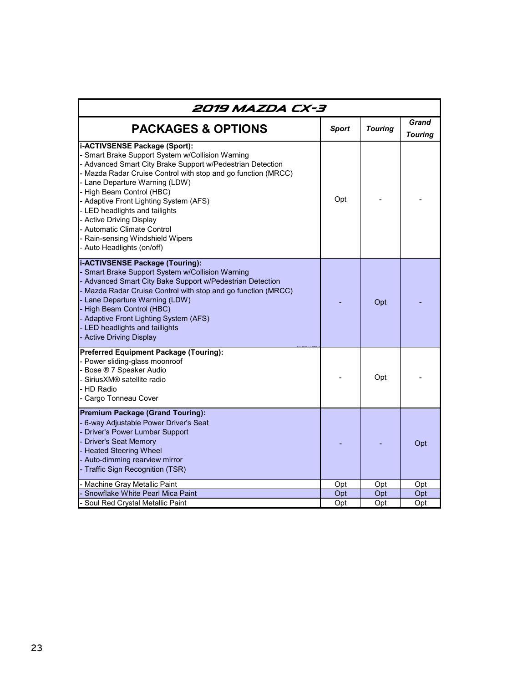| 2019 MAZDA CX-3                                                                                                                                                                                                                                                                                                                                                                                                                                                                |              |                |                         |  |
|--------------------------------------------------------------------------------------------------------------------------------------------------------------------------------------------------------------------------------------------------------------------------------------------------------------------------------------------------------------------------------------------------------------------------------------------------------------------------------|--------------|----------------|-------------------------|--|
| <b>PACKAGES &amp; OPTIONS</b>                                                                                                                                                                                                                                                                                                                                                                                                                                                  | <b>Sport</b> | <b>Touring</b> | Grand<br><b>Touring</b> |  |
| i-ACTIVSENSE Package (Sport):<br>Smart Brake Support System w/Collision Warning<br>- Advanced Smart City Brake Support w/Pedestrian Detection<br>Mazda Radar Cruise Control with stop and go function (MRCC)<br>Lane Departure Warning (LDW)<br>High Beam Control (HBC)<br>- Adaptive Front Lighting System (AFS)<br>- LED headlights and tailights<br>- Active Driving Display<br>- Automatic Climate Control<br>Rain-sensing Windshield Wipers<br>- Auto Headlights (on/off) | Opt          |                |                         |  |
| i-ACTIVSENSE Package (Touring):<br>Smart Brake Support System w/Collision Warning<br>- Advanced Smart City Bake Support w/Pedestrian Detection<br>Mazda Radar Cruise Control with stop and go function (MRCC)<br>Lane Departure Warning (LDW)<br>High Beam Control (HBC)<br>- Adaptive Front Lighting System (AFS)<br>LED headlights and taillights<br>- Active Driving Display                                                                                                |              | Opt            |                         |  |
| <b>Preferred Equipment Package (Touring):</b><br>- Power sliding-glass moonroof<br>Bose ® 7 Speaker Audio<br>Sirius XM® satellite radio<br>- HD Radio<br>Cargo Tonneau Cover                                                                                                                                                                                                                                                                                                   |              | Opt            |                         |  |
| <b>Premium Package (Grand Touring):</b><br>6-way Adjustable Power Driver's Seat<br>Driver's Power Lumbar Support<br><b>Driver's Seat Memory</b><br><b>Heated Steering Wheel</b><br>Auto-dimming rearview mirror<br>Traffic Sign Recognition (TSR)                                                                                                                                                                                                                              |              |                | Opt                     |  |
| Machine Gray Metallic Paint                                                                                                                                                                                                                                                                                                                                                                                                                                                    | Opt          | Opt            | Opt                     |  |
| Snowflake White Pearl Mica Paint<br>Soul Red Crystal Metallic Paint                                                                                                                                                                                                                                                                                                                                                                                                            | Opt<br>Opt   | Opt<br>Opt     | Opt<br>Opt              |  |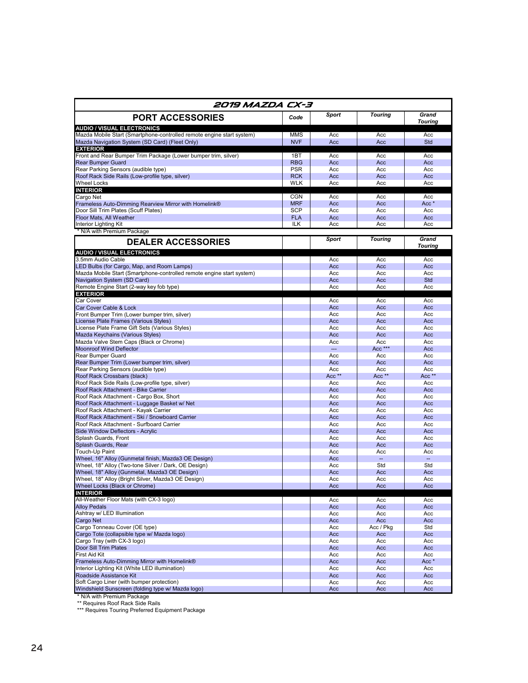| 2019 MAZDA CX-3                                                                                              |                          |                |                                 |                                 |
|--------------------------------------------------------------------------------------------------------------|--------------------------|----------------|---------------------------------|---------------------------------|
| <b>PORT ACCESSORIES</b>                                                                                      | Code                     | Sport          | <b>Touring</b>                  | Grand<br><b>Touring</b>         |
| <b>AUDIO / VISUAL ELECTRONICS</b><br>Mazda Mobile Start (Smartphone-controlled remote engine start system)   | <b>MMS</b>               | Acc            | Acc                             | Acc                             |
| Mazda Navigation System (SD Card) (Fleet Only)                                                               | <b>NVF</b>               | Acc            | Acc                             | Std                             |
| <b>EXTERIOR</b>                                                                                              |                          |                |                                 |                                 |
| Front and Rear Bumper Trim Package (Lower bumper trim, silver)<br><b>Rear Bumper Guard</b>                   | 1BT<br><b>RBG</b>        | Acc<br>Acc     | Acc<br>Acc                      | Acc<br>Acc                      |
| Rear Parking Sensors (audible type)                                                                          | <b>PSR</b>               | Acc            | Acc                             | Acc                             |
| Roof Rack Side Rails (Low-profile type, silver)                                                              | <b>RCK</b>               | Acc            | Acc                             | Acc                             |
| <b>Wheel Locks</b>                                                                                           | WLK                      | Acc            | Acc                             | Acc                             |
| <b>INTERIOR</b>                                                                                              |                          |                |                                 |                                 |
| Cargo Net<br>Frameless Auto-Dimming Rearview Mirror with Homelink®                                           | <b>CGN</b><br><b>MRF</b> | Acc<br>Acc     | Acc<br>Acc                      | Acc<br>Acc *                    |
| Door Sill Trim Plates (Scuff Plates)                                                                         | <b>SCP</b>               | Acc            | Acc                             | Acc                             |
| Floor Mats, All Weather                                                                                      | <b>FLA</b>               | Acc            | Acc                             | Acc                             |
| Interior Lighting Kit                                                                                        | ILK                      | Acc            | Acc                             | Acc                             |
| * N/A with Premium Package                                                                                   |                          |                |                                 |                                 |
| <b>DEALER ACCESSORIES</b>                                                                                    |                          | Sport          | <b>Touring</b>                  | Grand<br><b>Touring</b>         |
| <b>AUDIO / VISUAL ELECTRONICS</b>                                                                            |                          |                |                                 |                                 |
| 3.5mm Audio Cable<br>LED Bulbs (for Cargo, Map, and Room Lamps)                                              |                          | Acc<br>Acc     | Acc<br>Acc                      | Acc<br>Acc                      |
| Mazda Mobile Start (Smartphone-controlled remote engine start system)                                        |                          | Acc            | Acc                             | Acc                             |
| Navigation System (SD Card)                                                                                  |                          | Acc            | Acc                             | Std                             |
| Remote Engine Start (2-way key fob type)                                                                     |                          | Acc            | Acc                             | Acc                             |
| <b>EXTERIOR</b><br>Car Cover                                                                                 |                          | Acc            | Acc                             | Acc                             |
| Car Cover Cable & Lock                                                                                       |                          | Acc            | Acc                             | Acc                             |
| Front Bumper Trim (Lower bumper trim, silver)                                                                |                          | Acc            | Acc                             | Acc                             |
| License Plate Frames (Various Styles)                                                                        |                          | Acc            | Acc                             | Acc                             |
| License Plate Frame Gift Sets (Various Styles)                                                               |                          | Acc            | Acc                             | Acc                             |
| Mazda Keychains (Various Styles)<br>Mazda Valve Stem Caps (Black or Chrome)                                  |                          | Acc<br>Acc     | Acc<br>Acc                      | Acc<br>Acc                      |
| <b>Moonroof Wind Deflector</b>                                                                               |                          | $\overline{a}$ | $Acc$ ***                       | Acc                             |
| Rear Bumper Guard                                                                                            |                          | Acc            | Acc                             | Acc                             |
| Rear Bumper Trim (Lower bumper trim, silver)                                                                 |                          | Acc            | Acc                             | Acc                             |
| Rear Parking Sensors (audible type)                                                                          |                          | Acc            | Acc                             | Acc                             |
| Roof Rack Crossbars (black)<br>Roof Rack Side Rails (Low-profile type, silver)                               |                          | Acc **<br>Acc  | Acc <sup>**</sup><br>Acc        | Acc <sup>**</sup><br>Acc        |
| Roof Rack Attachment - Bike Carrier                                                                          |                          | Acc            | Acc                             | Acc                             |
| Roof Rack Attachment - Cargo Box, Short                                                                      |                          | Acc            | Acc                             | Acc                             |
| Roof Rack Attachment - Luggage Basket w/ Net                                                                 |                          | Acc            | Acc                             | Acc                             |
| Roof Rack Attachment - Kayak Carrier                                                                         |                          | Acc            | Acc                             | Acc                             |
| Roof Rack Attachment - Ski / Snowboard Carrier<br>Roof Rack Attachment - Surfboard Carrier                   |                          | Acc<br>Acc     | Acc<br>Acc                      | Acc<br>Acc                      |
| Side Window Deflectors - Acrylic                                                                             |                          | Acc            | Acc                             | Acc                             |
| Splash Guards, Front                                                                                         |                          | Acc            | Acc                             | Acc                             |
| Splash Guards, Rear                                                                                          |                          | Acc            | Acc                             | Acc                             |
| Touch-Up Paint                                                                                               |                          | Acc            | Acc                             | Acc                             |
| Wheel, 16" Alloy (Gunmetal finish, Mazda3 OE Design)<br>Wheel, 18" Alloy (Two-tone Silver / Dark, OE Design) |                          | Acc<br>Acc     | $\overline{\phantom{a}}$<br>Std | $\overline{\phantom{a}}$<br>Std |
| Wheel, 18" Alloy (Gunmetal, Mazda3 OE Design)                                                                |                          | Acc            | Acc                             | Acc                             |
| Wheel, 18" Alloy (Bright Silver, Mazda3 OE Design)                                                           |                          | Acc            | Acc                             | Acc                             |
| Wheel Locks (Black or Chrome)                                                                                |                          | Acc            | Acc                             | Acc                             |
| <b>INTERIOR</b><br>All-Weather Floor Mats (with CX-3 logo)                                                   |                          |                |                                 |                                 |
| <b>Alloy Pedals</b>                                                                                          |                          | Acc<br>Acc     | Acc<br>Acc                      | Acc<br>Acc                      |
| Ashtray w/ LED Illumination                                                                                  |                          | Acc            | Acc                             | Acc                             |
| Cargo Net                                                                                                    |                          | Acc            | Acc                             | Acc                             |
| Cargo Tonneau Cover (OE type)                                                                                |                          | Acc            | Acc / Pkg                       | Std                             |
| Cargo Tote (collapsible type w/ Mazda logo)<br>Cargo Tray (with CX-3 logo)                                   |                          | Acc            | Acc                             | Acc                             |
| Door Sill Trim Plates                                                                                        |                          | Acc<br>Acc     | Acc<br>Acc                      | Acc<br>Acc                      |
| <b>First Aid Kit</b>                                                                                         |                          | Acc            | Acc                             | Acc                             |
| Frameless Auto-Dimming Mirror with Homelink®                                                                 |                          | Acc            | Acc                             | Acc *                           |
| Interior Lighting Kit (White LED illumination)                                                               |                          | Acc            | Acc                             | Acc                             |
| Roadside Assistance Kit                                                                                      |                          | Acc            | Acc                             | Acc                             |
| Soft Cargo Liner (with bumper protection)<br>Windshield Sunscreen (folding type w/ Mazda logo)               |                          | Acc<br>Acc     | Acc<br>Acc                      | Acc<br>Acc                      |
|                                                                                                              |                          |                |                                 |                                 |

\* N/A with Premium Package \*\* Requires Roof Rack Side Rails \*\*\* Requires Touring Preferred Equipment Package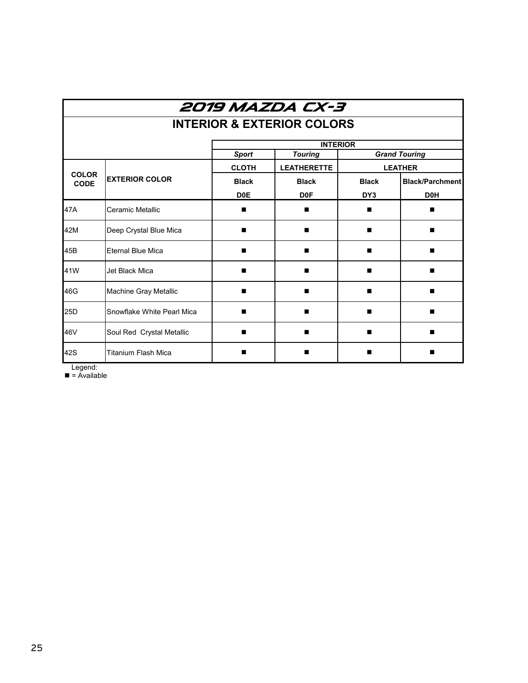| 2019 MAZDA CX-3             |                                       |                  |                    |              |                        |  |  |
|-----------------------------|---------------------------------------|------------------|--------------------|--------------|------------------------|--|--|
|                             | <b>INTERIOR &amp; EXTERIOR COLORS</b> |                  |                    |              |                        |  |  |
|                             | <b>INTERIOR</b>                       |                  |                    |              |                        |  |  |
|                             |                                       | <b>Sport</b>     | <b>Touring</b>     |              | <b>Grand Touring</b>   |  |  |
|                             |                                       | <b>CLOTH</b>     | <b>LEATHERETTE</b> |              | <b>LEATHER</b>         |  |  |
| <b>COLOR</b><br><b>CODE</b> | <b>EXTERIOR COLOR</b>                 | <b>Black</b>     | <b>Black</b>       | <b>Black</b> | <b>Black/Parchment</b> |  |  |
|                             |                                       | D <sub>0</sub> E | D <sub>0</sub> F   | DY3          | D <sub>0</sub> H       |  |  |
| 47A                         | Ceramic Metallic                      | ▬                | ■                  |              |                        |  |  |
| 42M                         | Deep Crystal Blue Mica                |                  |                    | ■            |                        |  |  |
| 45B                         | <b>Eternal Blue Mica</b>              |                  |                    |              |                        |  |  |
| 41W                         | Jet Black Mica                        |                  | ■                  |              |                        |  |  |
| 46G                         | Machine Gray Metallic                 |                  | п                  |              |                        |  |  |
| 25D                         | Snowflake White Pearl Mica            | ▬                | ■                  |              |                        |  |  |
| 46V                         | Soul Red Crystal Metallic             | ■                | ■                  |              |                        |  |  |
| 42S                         | <b>Titanium Flash Mica</b>            |                  |                    |              |                        |  |  |

Legend:

 $\blacksquare$  = Available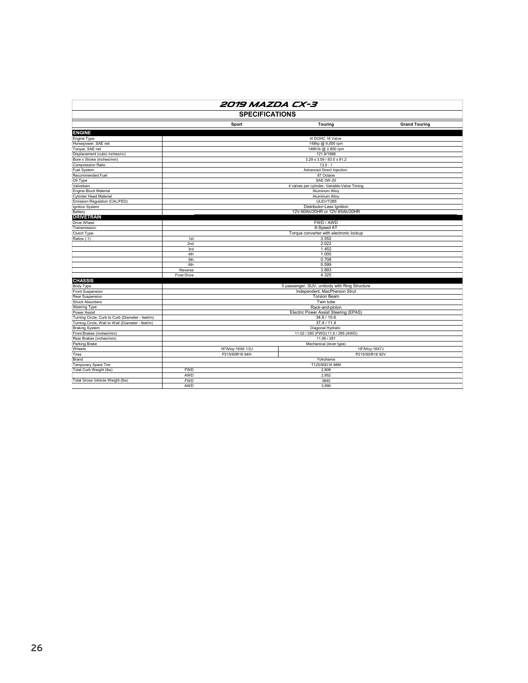| 2019 MAZDA CX-3                                                         |                                                    |                    |                                               |                      |  |
|-------------------------------------------------------------------------|----------------------------------------------------|--------------------|-----------------------------------------------|----------------------|--|
| <b>SPECIFICATIONS</b>                                                   |                                                    |                    |                                               |                      |  |
|                                                                         |                                                    | Sport              | <b>Touring</b>                                | <b>Grand Touring</b> |  |
| <b>ENGINE</b>                                                           |                                                    |                    |                                               |                      |  |
| Engine Type                                                             |                                                    |                    | I4 DOHC 16 Valve                              |                      |  |
| Horsepower, SAE net                                                     |                                                    |                    | 148hp @ 6,000 rpm                             |                      |  |
| Torque, SAE net                                                         |                                                    |                    | 146ft-lb @ 2,800 rpm                          |                      |  |
| Displacement (cubic inches/cc)                                          |                                                    |                    | 121.9/1998                                    |                      |  |
| Bore x Stroke (inches/mm)                                               |                                                    |                    | 3.29 x 3.59 / 83.5 x 91.2                     |                      |  |
| Compression Ratio                                                       |                                                    |                    | 13.0:1                                        |                      |  |
| Fuel System                                                             |                                                    |                    | Advanced Direct Injection                     |                      |  |
| Recommended Fuel                                                        |                                                    |                    | 87 Octane                                     |                      |  |
| Oil Type                                                                |                                                    |                    | <b>SAE 0W-20</b>                              |                      |  |
| Valvetrain                                                              |                                                    |                    | 4 valves per cylinder, Variable-Valve Timing  |                      |  |
| Engine Block Material                                                   |                                                    |                    | Aluminum Alloy                                |                      |  |
| Cylinder Head Material                                                  |                                                    |                    | Aluminum Alloy                                |                      |  |
| Emission Regulation (CAL/FED)                                           |                                                    |                    | ULEV/T2B5                                     |                      |  |
| Ignition System                                                         |                                                    |                    | Distributor-Less Ignition                     |                      |  |
| Battery                                                                 |                                                    |                    | 12V-60Ah/20HR or 12V-65Ah/20HR                |                      |  |
| <b>DRIVETRAIN</b>                                                       |                                                    |                    |                                               |                      |  |
| Drive Wheel:                                                            |                                                    |                    | FWD / AWD                                     |                      |  |
| Transmission:                                                           |                                                    |                    | 6-Speed AT                                    |                      |  |
| Clutch Type:                                                            |                                                    |                    | Torque converter with electronic lockup       |                      |  |
| Ratios (:1)                                                             | 1st                                                |                    | 3.552                                         |                      |  |
|                                                                         | 2nd                                                |                    | 2.022                                         |                      |  |
|                                                                         | 3rd                                                |                    | 1.452                                         |                      |  |
|                                                                         | 4th                                                |                    | 1.000                                         |                      |  |
|                                                                         | 5th                                                |                    | 0.708                                         |                      |  |
|                                                                         | 6th                                                |                    | 0.599                                         |                      |  |
|                                                                         | Reverse                                            |                    | 3.893                                         |                      |  |
|                                                                         | <b>Final Drive</b>                                 |                    | 4.325                                         |                      |  |
| <b>CHASSIS</b>                                                          |                                                    |                    |                                               |                      |  |
| Body Type                                                               |                                                    |                    | 5 passenger, SUV, unibody with Ring Structure |                      |  |
| Front Suspension                                                        |                                                    |                    | Independent, MacPherson Strut                 |                      |  |
| Rear Suspension                                                         | <b>Torsion Beam</b>                                |                    |                                               |                      |  |
| <b>Shock Absorbers</b>                                                  | Twin tube                                          |                    |                                               |                      |  |
| <b>Steering Type</b>                                                    | Rack-and-pinion                                    |                    |                                               |                      |  |
| <b>Power Assist</b><br>Turning Circle, Curb to Curb (Diameter - feet/m) | Electric Power Assist Steering (EPAS)              |                    |                                               |                      |  |
| Turning Circle, Wall to Wall (Diameter - feet/m)                        | 34.8 / 10.6                                        |                    |                                               |                      |  |
| <b>Braking System</b>                                                   | 37.4 / 11.4                                        |                    |                                               |                      |  |
| Front Brakes (inches/mm)                                                | Diagonal Hydralic                                  |                    |                                               |                      |  |
| Rear Brakes (inches/mm)                                                 | 11.02 / 280 (FWD); 11.6 / 295 (AWD)<br>11.06 / 281 |                    |                                               |                      |  |
| Parking Brake                                                           |                                                    |                    | Mechanical (lever type)                       |                      |  |
| Wheels                                                                  |                                                    | 16"Alloy:16X6 1/2J | 18"Alloy: 18X7J                               |                      |  |
| Tires                                                                   |                                                    | P215/60R16 94H     | P215/50/R18 92V                               |                      |  |
| Brand                                                                   |                                                    |                    | Yokohama                                      |                      |  |
| Temporary Spare Tire                                                    |                                                    |                    | T125/90D16 98M                                |                      |  |
| Total Curb Weight (lbs)                                                 | <b>FWD</b>                                         |                    | 2,809                                         |                      |  |
|                                                                         | AWD                                                |                    | 2,952                                         |                      |  |
| Total Gross Vehicle Weight (Ibs)                                        | <b>FWD</b>                                         |                    | 3840                                          |                      |  |
|                                                                         | <b>AWD</b>                                         |                    | 3.990                                         |                      |  |